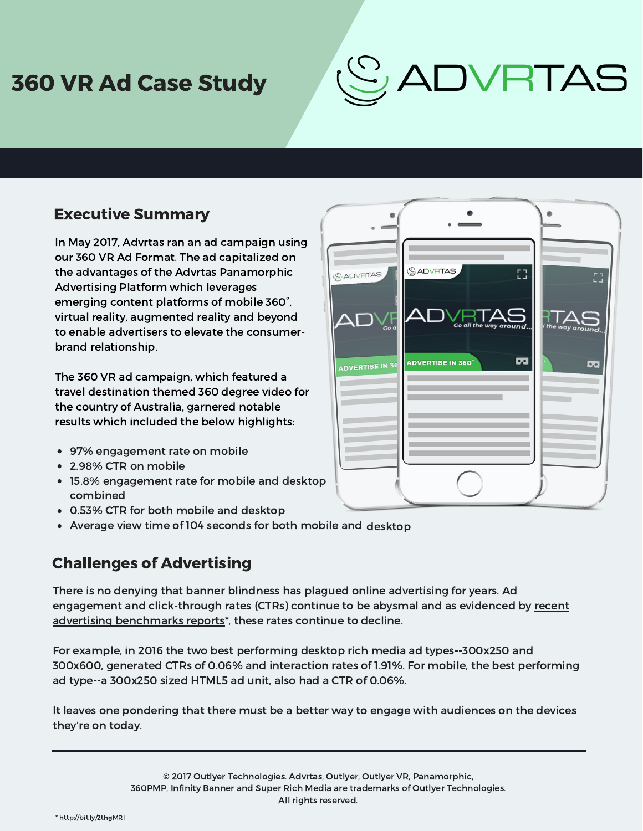## 360 VR Ad Case Study

# ADVRTAS

### Executive Summary

In May 2017, Advrtas ran an ad campaign using our 360 VR Ad Format. The ad capitalized on the advantages of the Advrtas Panamorphic Advertising Platform which leverages emerging content platforms of mobile 360°, virtual reality, augmented reality and beyond to enable advertisers to elevate the consumerbrand relationship.

The 360 VR ad campaign, which featured a travel destination themed 360 degree video for the country of Australia, garnered notable results which included the below highlights:

- 97% engagement rate on mobile
- 2.98% CTR on mobile
- 15.8% engagement rate for mobile and desktop combined
- 0.53% CTR for both mobile and desktop
- Average view time of 104 seconds for both mobile and desktop

### Challenges of Advertising

There is no denying that banner blindness has plagued online advertising for years. Ad engagement and click-through rates (CTRs) continue to be abysmal and as evidenced by recent advertising benchmarks reports<sup>\*</sup>, these rates continue to decline.

For example, in 2016 the two best performing desktop rich media ad [types--300x250](https://www.slideshare.net/cjmedialou/2017-digital-advertising-benchmarks-aggregated-report) and 300x600, generated CTRs of 0.06% and interaction rates of 1.91%. For mobile, the best performing ad type--a 300x250 sized HTML5 ad unit, also had a CTR of 0.06%.

It leaves one pondering that there must be a better way to engage with audiences on the devices they're on today.

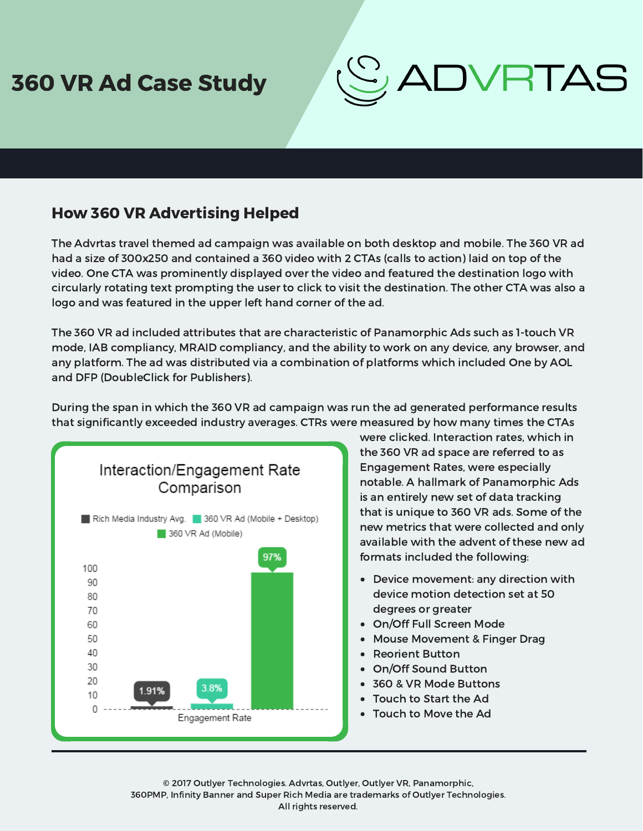## 360 VR Ad Case Study

## ADVRTAS

### How 360 VR Advertising Helped

The Advrtas travel themed ad campaign was available on both desktop and mobile. The 360 VR ad had a size of 300x250 and contained a 360 video with 2 CTAs (calls to action) laid on top of the video. One CTA was prominently displayed over the video and featured the destination logo with circularly rotating text prompting the user to click to visit the destination. The other CTA was also a logo and was featured in the upper left hand corner of the ad.

The 360 VR ad included attributes that are characteristic of Panamorphic Ads such as 1-touch VR mode, IAB compliancy, MRAID compliancy, and the ability to work on any device, any browser, and any platform. The ad was distributed via a combination of platforms which included One by AOL and DFP (DoubleClick for Publishers).

During the span in which the 360 VR ad campaign was run the ad generated performance results that significantly exceeded industry averages. CTRs were measured by how many times the CTAs



were clicked. Interaction rates, which in the 360 VR ad space are referred to as Engagement Rates, were especially notable. A hallmark of Panamorphic Ads is an entirely new set of data tracking that is unique to 360 VR ads. Some of the new metrics that were collected and only available with the advent of these new ad formats included the following:

- Device movement: any direction with device motion detection set at 50 degrees or greater
- On/Off Full Screen Mode
- Mouse Movement & Finger Drag
- Reorient Button
- On/Off Sound Button
- 360 & VR Mode Buttons
- Touch to Start the Ad
- Touch to Move the Ad